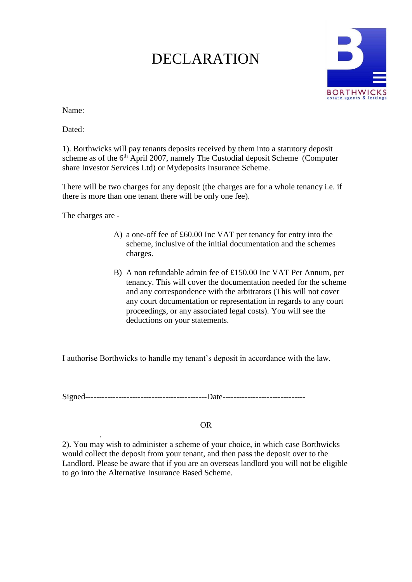## DECLARATION



Name:

Dated:

1). Borthwicks will pay tenants deposits received by them into a statutory deposit scheme as of the 6<sup>th</sup> April 2007, namely The Custodial deposit Scheme (Computer share Investor Services Ltd) or Mydeposits Insurance Scheme.

There will be two charges for any deposit (the charges are for a whole tenancy i.e. if there is more than one tenant there will be only one fee).

The charges are -

- A) a one-off fee of £60.00 Inc VAT per tenancy for entry into the scheme, inclusive of the initial documentation and the schemes charges.
- B) A non refundable admin fee of £150.00 Inc VAT Per Annum, per tenancy. This will cover the documentation needed for the scheme and any correspondence with the arbitrators (This will not cover any court documentation or representation in regards to any court proceedings, or any associated legal costs). You will see the deductions on your statements.

I authorise Borthwicks to handle my tenant's deposit in accordance with the law.

Signed--------------------------------------------Date------------------------------

## OR

. 2). You may wish to administer a scheme of your choice, in which case Borthwicks would collect the deposit from your tenant, and then pass the deposit over to the Landlord. Please be aware that if you are an overseas landlord you will not be eligible to go into the Alternative Insurance Based Scheme.